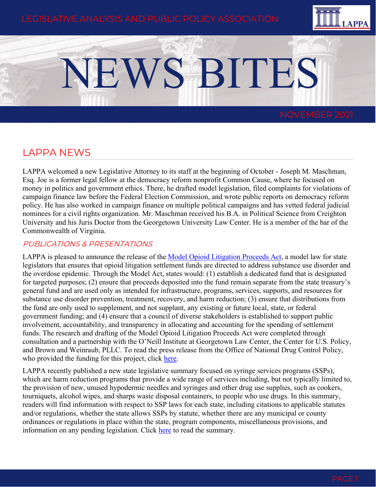

# NEWS BITES

## LAPPA NEWS

LAPPA welcomed a new Legislative Attorney to its staff at the beginning of October - Joseph M. Maschman, Esq. Joe is a former legal fellow at the democracy reform nonprofit Common Cause, where he focused on money in politics and government ethics. There, he drafted model legislation, filed complaints for violations of campaign finance law before the Federal Election Commission, and wrote public reports on democracy reform policy. He has also worked in campaign finance on multiple political campaigns and has vetted federal judicial nominees for a civil rights organization. Mr. Maschman received his B.A. in Political Science from Creighton University and his Juris Doctor from the Georgetown University Law Center. He is a member of the bar of the Commonwealth of Virginia.

## PUBLICATIONS & PRESENTATIONS

LAPPA is pleased to announce the release of the [Model Opioid Litigation Proceeds Act,](https://legislativeanalysis.org/model-opioid-litigation-proceeds-act/) a model law for state legislators that ensures that opioid litigation settlement funds are directed to address substance use disorder and the overdose epidemic. Through the Model Act, states would: (1) establish a dedicated fund that is designated for targeted purposes; (2) ensure that proceeds deposited into the fund remain separate from the state treasury's general fund and are used only as intended for infrastructure, programs, services, supports, and resources for substance use disorder prevention, treatment, recovery, and harm reduction; (3) ensure that distributions from the fund are only used to supplement, and not supplant, any existing or future local, state, or federal government funding; and (4) ensure that a council of diverse stakeholders is established to support public involvement, accountability, and transparency in allocating and accounting for the spending of settlement funds. The research and drafting of the Model Opioid Litigation Proceeds Act were completed through consultation and a partnership with the O'Neill Institute at Georgetown Law Center, the Center for U.S. Policy, and Brown and Weinraub, PLLC. To read the press release from the Office of National Drug Control Policy, who provided the funding for this project, click [here.](https://www.whitehouse.gov/ondcp/briefing-room/2021/10/21/ondcp-announces-model-law-for-states-to-help-ensure-opioid-litigation-settlements-funds-address-addiction-and-overdose/)

LAPPA recently published a new state legislative summary focused on syringe services programs (SSPs), which are harm reduction programs that provide a wide range of services including, but not typically limited to, the provision of new, unused hypodermic needles and syringes and other drug use supplies, such as cookers, tourniquets, alcohol wipes, and sharps waste disposal containers, to people who use drugs. In this summary, readers will find information with respect to SSP laws for each state, including citations to applicable statutes and/or regulations, whether the state allows SSPs by statute, whether there are any municipal or county ordinances or regulations in place within the state, program components, miscellaneous provisions, and information on any pending legislation. Click [here](https://legislativeanalysis.org/syringe-services-programs-summary-of-state-laws/) to read the summary.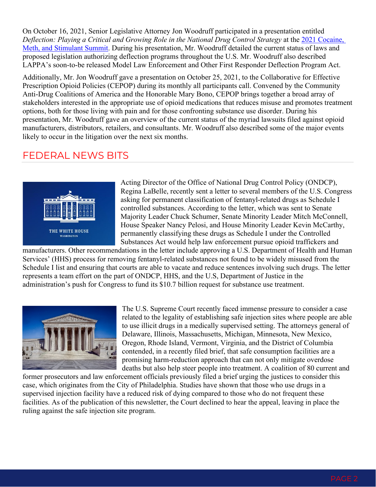On October 16, 2021, Senior Legislative Attorney Jon Woodruff participated in a presentation entitled *Deflection: Playing a Critical and Growing Role in the National Drug Control Strategy* at the [2021 Cocaine,](https://www.eventscribe.net/2021/StimulantSummit/agenda.asp?BCFO=&pfp=BrowsebyDay&tn=&cpf2=&cus2=&pta=&all=1&mode=)  [Meth, and Stimulant Summit.](https://www.eventscribe.net/2021/StimulantSummit/agenda.asp?BCFO=&pfp=BrowsebyDay&tn=&cpf2=&cus2=&pta=&all=1&mode=) During his presentation, Mr. Woodruff detailed the current status of laws and proposed legislation authorizing deflection programs throughout the U.S. Mr. Woodruff also described LAPPA's soon-to-be released Model Law Enforcement and Other First Responder Deflection Program Act.

Additionally, Mr. Jon Woodruff gave a presentation on October 25, 2021, to the Collaborative for Effective Prescription Opioid Policies (CEPOP) during its monthly all participants call. Convened by the Community Anti-Drug Coalitions of America and the Honorable Mary Bono, CEPOP brings together a broad array of stakeholders interested in the appropriate use of opioid medications that reduces misuse and promotes treatment options, both for those living with pain and for those confronting substance use disorder. During his presentation, Mr. Woodruff gave an overview of the current status of the myriad lawsuits filed against opioid manufacturers, distributors, retailers, and consultants. Mr. Woodruff also described some of the major events likely to occur in the litigation over the next six months.

# FEDERAL NEWS BITS



Acting Director of the Office of National Drug Control Policy (ONDCP), Regina LaBelle, recently sent a letter to several members of the U.S. Congress asking for permanent classification of fentanyl-related drugs as Schedule I controlled substances. According to the letter, which was sent to Senate Majority Leader Chuck Schumer, Senate Minority Leader Mitch McConnell, House Speaker Nancy Pelosi, and House Minority Leader Kevin McCarthy, permanently classifying these drugs as Schedule I under the Controlled Substances Act would help law enforcement pursue opioid traffickers and

manufacturers. Other recommendations in the letter include approving a U.S. Department of Health and Human Services' (HHS) process for removing fentanyl-related substances not found to be widely misused from the Schedule I list and ensuring that courts are able to vacate and reduce sentences involving such drugs. The letter represents a team effort on the part of ONDCP, HHS, and the U.S, Department of Justice in the administration's push for Congress to fund its \$10.7 billion request for substance use treatment.



The U.S. Supreme Court recently faced immense pressure to consider a case related to the legality of establishing safe injection sites where people are able to use illicit drugs in a medically supervised setting. The attorneys general of Delaware, Illinois, Massachusetts, Michigan, Minnesota, New Mexico, Oregon, Rhode Island, Vermont, Virginia, and the District of Columbia contended, in a recently filed brief, that safe consumption facilities are a promising harm-reduction approach that can not only mitigate overdose deaths but also help steer people into treatment. A coalition of 80 current and

former prosecutors and law enforcement officials previously filed a brief urging the justices to consider this case, which originates from the City of Philadelphia. Studies have shown that those who use drugs in a supervised injection facility have a reduced risk of dying compared to those who do not frequent these facilities. As of the publication of this newsletter, the Court declined to hear the appeal, leaving in place the ruling against the safe injection site program.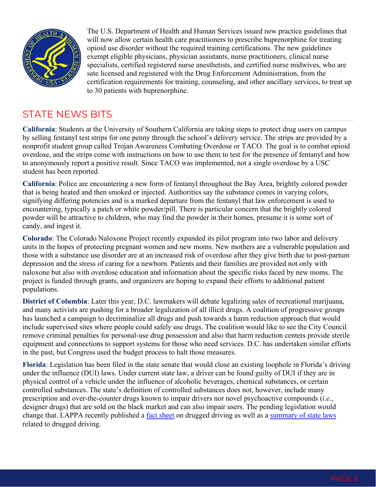

The U.S. Department of Health and Human Services issued new practice guidelines that will now allow certain health care practitioners to prescribe buprenorphine for treating opioid use disorder without the required training certifications. The new guidelines exempt eligible physicians, physician assistants, nurse practitioners, clinical nurse specialists, certified registered nurse anesthetists, and certified nurse midwives, who are sate licensed and registered with the Drug Enforcement Administration, from the certification requirements for training, counseling, and other ancillary services, to treat up to 30 patients with buprenorphine.

# STATE NEWS BITS

**California**: Students at the University of Southern California are taking steps to protect drug users on campus by selling fentanyl test strips for one penny through the school's delivery service. The strips are provided by a nonprofit student group called Trojan Awareness Combating Overdose or TACO. The goal is to combat opioid overdose, and the strips come with instructions on how to use them to test for the presence of fentanyl and how to anonymously report a positive result. Since TACO was implemented, not a single overdose by a USC student has been reported.

**California**: Police are encountering a new form of fentanyl throughout the Bay Area, brightly colored powder that is being heated and then smoked or injected. Authorities say the substance comes in varying colors, signifying differing potencies and is a marked departure from the fentanyl that law enforcement is used to encountering, typically a patch or white powder/pill. There is particular concern that the brightly colored powder will be attractive to children, who may find the powder in their homes, presume it is some sort of candy, and ingest it.

**Colorado**: The Colorado Naloxone Project recently expanded its pilot program into two labor and delivery units in the hopes of protecting pregnant women and new moms. New mothers are a vulnerable population and those with a substance use disorder are at an increased risk of overdose after they give birth due to post-partum depression and the stress of caring for a newborn. Patients and their families are provided not only with naloxone but also with overdose education and information about the specific risks faced by new moms. The project is funded through grants, and organizers are hoping to expand their efforts to additional patient populations.

**District of Columbia**: Later this year, D.C. lawmakers will debate legalizing sales of recreational marijuana, and many activists are pushing for a broader legalization of all illicit drugs. A coalition of progressive groups has launched a campaign to decriminalize all drugs and push towards a harm reduction approach that would include supervised sites where people could safely use drugs. The coalition would like to see the City Council remove criminal penalties for personal-use drug possession and also that harm reduction centers provide sterile equipment and connections to support systems for those who need services. D.C. has undertaken similar efforts in the past, but Congress used the budget process to halt those measures.

**Florida**: Legislation has been filed in the state senate that would close an existing loophole in Florida's driving under the influence (DUI) laws. Under current state law, a driver can be found guilty of DUI if they are in physical control of a vehicle under the influence of alcoholic beverages, chemical substances, or certain controlled substances. The state's definition of controlled substances does not, however, include many prescription and over-the-counter drugs known to impair drivers nor novel psychoactive compounds (*i.e*., designer drugs) that are sold on the black market and can also impair users. The pending legislation would change that. LAPPA recently published a [fact sheet](https://legislativeanalysis.org/drugged-driving/) on drugged driving as well as a [summary of state laws](https://legislativeanalysis.org/drugged-driving-summary-of-state-laws/) related to drugged driving.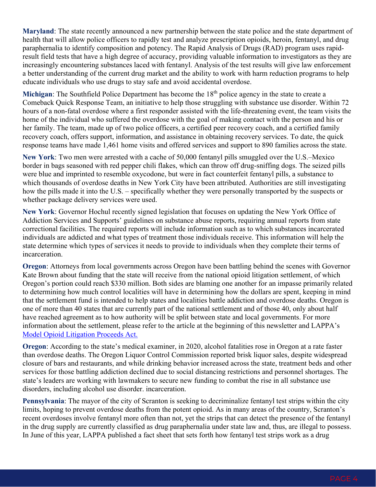**Maryland**: The state recently announced a new partnership between the state police and the state department of health that will allow police officers to rapidly test and analyze prescription opioids, heroin, fentanyl, and drug paraphernalia to identify composition and potency. The Rapid Analysis of Drugs (RAD) program uses rapidresult field tests that have a high degree of accuracy, providing valuable information to investigators as they are increasingly encountering substances laced with fentanyl. Analysis of the test results will give law enforcement a better understanding of the current drug market and the ability to work with harm reduction programs to help educate individuals who use drugs to stay safe and avoid accidental overdose.

Michigan: The Southfield Police Department has become the 18<sup>th</sup> police agency in the state to create a Comeback Quick Response Team, an initiative to help those struggling with substance use disorder. Within 72 hours of a non-fatal overdose where a first responder assisted with the life-threatening event, the team visits the home of the individual who suffered the overdose with the goal of making contact with the person and his or her family. The team, made up of two police officers, a certified peer recovery coach, and a certified family recovery coach, offers support, information, and assistance in obtaining recovery services. To date, the quick response teams have made 1,461 home visits and offered services and support to 890 families across the state.

**New York**: Two men were arrested with a cache of 50,000 fentanyl pills smuggled over the U.S.–Mexico border in bags seasoned with red pepper chili flakes, which can throw off drug-sniffing dogs. The seized pills were blue and imprinted to resemble oxycodone, but were in fact counterfeit fentanyl pills, a substance to which thousands of overdose deaths in New York City have been attributed. Authorities are still investigating how the pills made it into the U.S. – specifically whether they were personally transported by the suspects or whether package delivery services were used.

**New York**: Governor Hochul recently signed legislation that focuses on updating the New York Office of Addiction Services and Supports' guidelines on substance abuse reports, requiring annual reports from state correctional facilities. The required reports will include information such as to which substances incarcerated individuals are addicted and what types of treatment those individuals receive. This information will help the state determine which types of services it needs to provide to individuals when they complete their terms of incarceration.

**Oregon**: Attorneys from local governments across Oregon have been battling behind the scenes with Governor Kate Brown about funding that the state will receive from the national opioid litigation settlement, of which Oregon's portion could reach \$330 million. Both sides are blaming one another for an impasse primarily related to determining how much control localities will have in determining how the dollars are spent, keeping in mind that the settlement fund is intended to help states and localities battle addiction and overdose deaths. Oregon is one of more than 40 states that are currently part of the national settlement and of those 40, only about half have reached agreement as to how authority will be split between state and local governments. For more information about the settlement, please refer to the article at the beginning of this newsletter and LAPPA's [Model Opioid Litigation Proceeds Act.](https://legislativeanalysis.org/model-opioid-litigation-proceeds-act/)

**Oregon**: According to the state's medical examiner, in 2020, alcohol fatalities rose in Oregon at a rate faster than overdose deaths. The Oregon Liquor Control Commission reported brisk liquor sales, despite widespread closure of bars and restaurants, and while drinking behavior increased across the state, treatment beds and other services for those battling addiction declined due to social distancing restrictions and personnel shortages. The state's leaders are working with lawmakers to secure new funding to combat the rise in all substance use disorders, including alcohol use disorder. incarceration.

**Pennsylvania**: The mayor of the city of Scranton is seeking to decriminalize fentanyl test strips within the city limits, hoping to prevent overdose deaths from the potent opioid. As in many areas of the country, Scranton's recent overdoses involve fentanyl more often than not, yet the strips that can detect the presence of the fentanyl in the drug supply are currently classified as drug paraphernalia under state law and, thus, are illegal to possess. In June of this year, LAPPA published a fact sheet that sets forth how fentanyl test strips work as a drug